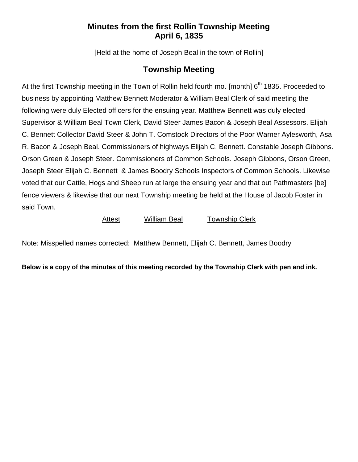## **Minutes from the first Rollin Township Meeting April 6, 1835**

[Held at the home of Joseph Beal in the town of Rollin]

## **Township Meeting**

At the first Township meeting in the Town of Rollin held fourth mo. [month] 6<sup>th</sup> 1835. Proceeded to business by appointing Matthew Bennett Moderator & William Beal Clerk of said meeting the following were duly Elected officers for the ensuing year. Matthew Bennett was duly elected Supervisor & William Beal Town Clerk, David Steer James Bacon & Joseph Beal Assessors. Elijah C. Bennett Collector David Steer & John T. Comstock Directors of the Poor Warner Aylesworth, Asa R. Bacon & Joseph Beal. Commissioners of highways Elijah C. Bennett. Constable Joseph Gibbons. Orson Green & Joseph Steer. Commissioners of Common Schools. Joseph Gibbons, Orson Green, Joseph Steer Elijah C. Bennett & James Boodry Schools Inspectors of Common Schools. Likewise voted that our Cattle, Hogs and Sheep run at large the ensuing year and that out Pathmasters [be] fence viewers & likewise that our next Township meeting be held at the House of Jacob Foster in said Town.

## Attest William Beal Township Clerk

Note: Misspelled names corrected: Matthew Bennett, Elijah C. Bennett, James Boodry

**Below is a copy of the minutes of this meeting recorded by the Township Clerk with pen and ink.**